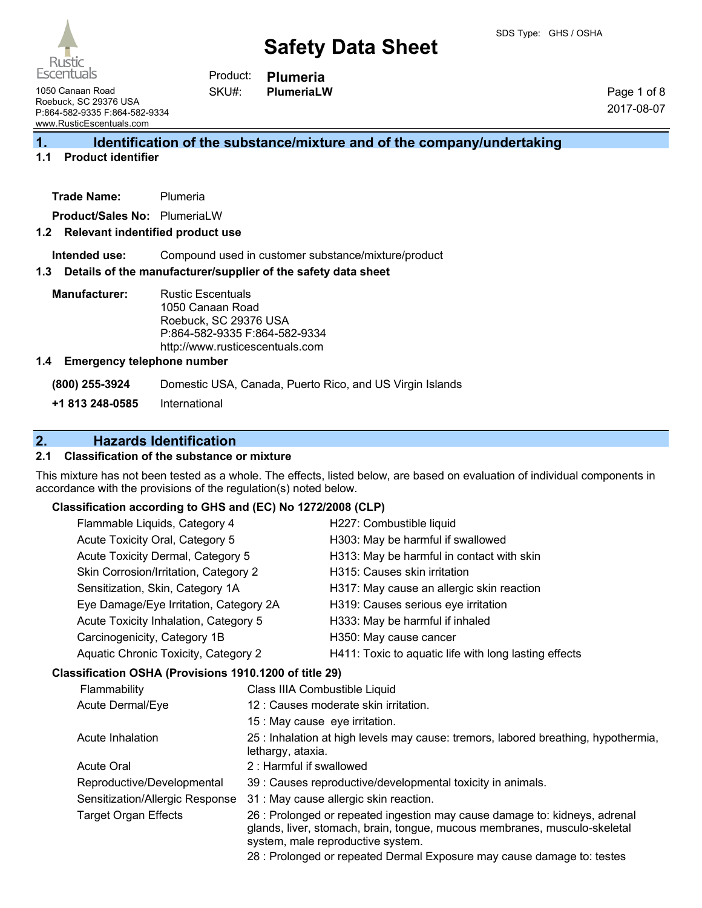

**Plumeria PlumeriaLW** Product: SKU#:

1050 Canaan Road Roebuck, SC 29376 USA P:864-582-9335 F:864-582-9334 www.RusticEscentuals.com

Page 1 of 8 2017-08-07

## **1. Identification of the substance/mixture and of the company/undertaking**

## **1.1 Product identifier**

| Trade Name: | Plumeria |
|-------------|----------|
|             |          |

**Product/Sales No:** PlumeriaLW

### **1.2 Relevant indentified product use**

**Intended use:** Compound used in customer substance/mixture/product

#### **1.3 Details of the manufacturer/supplier of the safety data sheet**

**Manufacturer:** Rustic Escentuals 1050 Canaan Road Roebuck, SC 29376 USA P:864-582-9335 F:864-582-9334 http://www.rusticescentuals.com

### **1.4 Emergency telephone number**

**(800) 255-3924** Domestic USA, Canada, Puerto Rico, and US Virgin Islands

**+1 813 248-0585** International

## **2. Hazards Identification**

## **2.1 Classification of the substance or mixture**

This mixture has not been tested as a whole. The effects, listed below, are based on evaluation of individual components in accordance with the provisions of the regulation(s) noted below.

## **Classification according to GHS and (EC) No 1272/2008 (CLP)**

|  | Flammable Liquids, Category 4                                                                                  |                                | H227: Combustible liquid                                                                                                                                                                     |
|--|----------------------------------------------------------------------------------------------------------------|--------------------------------|----------------------------------------------------------------------------------------------------------------------------------------------------------------------------------------------|
|  | Acute Toxicity Oral, Category 5                                                                                |                                | H303: May be harmful if swallowed                                                                                                                                                            |
|  | Acute Toxicity Dermal, Category 5<br>Skin Corrosion/Irritation, Category 2<br>Sensitization, Skin, Category 1A |                                | H313: May be harmful in contact with skin                                                                                                                                                    |
|  |                                                                                                                |                                | H315: Causes skin irritation                                                                                                                                                                 |
|  |                                                                                                                |                                | H317: May cause an allergic skin reaction                                                                                                                                                    |
|  | Eye Damage/Eye Irritation, Category 2A                                                                         |                                | H319: Causes serious eye irritation                                                                                                                                                          |
|  | Acute Toxicity Inhalation, Category 5                                                                          |                                | H333: May be harmful if inhaled                                                                                                                                                              |
|  | Carcinogenicity, Category 1B                                                                                   |                                | H350: May cause cancer                                                                                                                                                                       |
|  | Aquatic Chronic Toxicity, Category 2                                                                           |                                | H411: Toxic to aquatic life with long lasting effects                                                                                                                                        |
|  | Classification OSHA (Provisions 1910.1200 of title 29)                                                         |                                |                                                                                                                                                                                              |
|  | Flammability<br>Class IIIA Combustible Liquid<br>Acute Dermal/Eye                                              |                                |                                                                                                                                                                                              |
|  |                                                                                                                |                                | 12 : Causes moderate skin irritation.                                                                                                                                                        |
|  |                                                                                                                | 15 : May cause eye irritation. |                                                                                                                                                                                              |
|  | Acute Inhalation<br>lethargy, ataxia.                                                                          |                                | 25 : Inhalation at high levels may cause: tremors, labored breathing, hypothermia,                                                                                                           |
|  | 2: Harmful if swallowed<br><b>Acute Oral</b>                                                                   |                                |                                                                                                                                                                                              |
|  | Reproductive/Developmental                                                                                     |                                | 39 : Causes reproductive/developmental toxicity in animals.                                                                                                                                  |
|  | Sensitization/Allergic Response                                                                                |                                | 31 : May cause allergic skin reaction.                                                                                                                                                       |
|  | <b>Target Organ Effects</b>                                                                                    |                                | 26 : Prolonged or repeated ingestion may cause damage to: kidneys, adrenal<br>glands, liver, stomach, brain, tongue, mucous membranes, musculo-skeletal<br>system, male reproductive system. |
|  |                                                                                                                |                                | 28 : Prolonged or repeated Dermal Exposure may cause damage to: testes                                                                                                                       |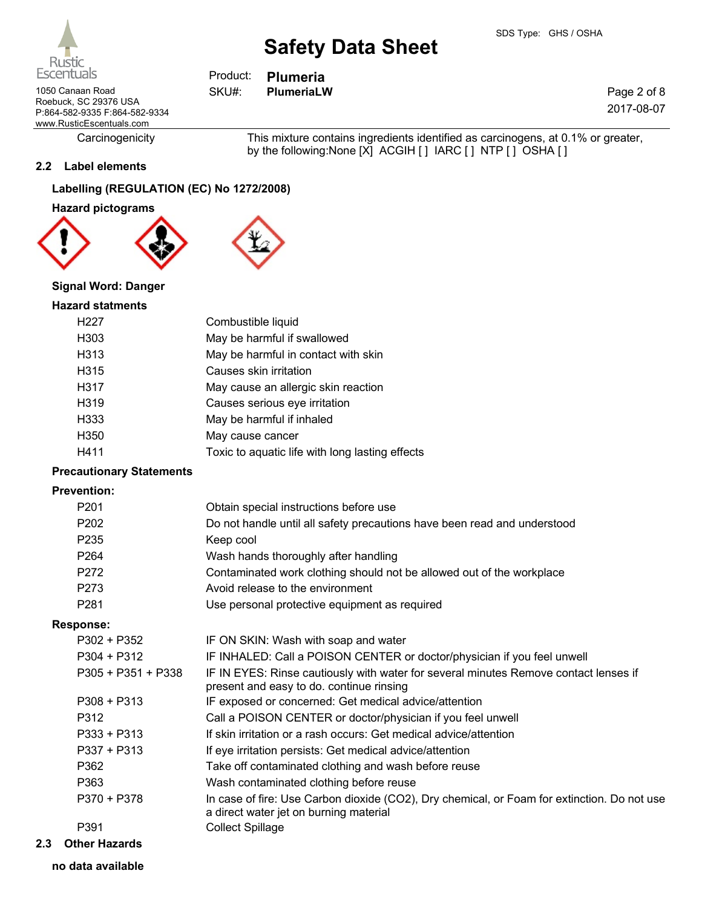1050 Canaan Road **PlumeriaLW** SKU#: PlumeriaLW Roebuck, SC 29376 USA P:864-582-9335 F:864-582-9334 www.RusticEscentuals.com

Carcinogenicity This mixture contains ingredients identified as carcinogens, at 0.1% or greater, by the following:None [X] ACGIH [ ] IARC [ ] NTP [ ] OSHA [ ]

## **2.2 Label elements**

## **Labelling (REGULATION (EC) No 1272/2008)**

**Hazard pictograms**



## **Signal Word: Danger**

## **Hazard statments**

| H <sub>227</sub>  | Combustible liquid                              |
|-------------------|-------------------------------------------------|
| H <sub>303</sub>  | May be harmful if swallowed                     |
| H313              | May be harmful in contact with skin             |
| H315              | Causes skin irritation                          |
| H317              | May cause an allergic skin reaction             |
| H <sub>3</sub> 19 | Causes serious eye irritation                   |
| H <sub>333</sub>  | May be harmful if inhaled                       |
| H350              | May cause cancer                                |
| H411              | Toxic to aquatic life with long lasting effects |

## **Precautionary Statements**

### **Prevention:**

| . ו פעפות טוו.     |                                                                                                                                       |
|--------------------|---------------------------------------------------------------------------------------------------------------------------------------|
| P201               | Obtain special instructions before use                                                                                                |
| P202               | Do not handle until all safety precautions have been read and understood                                                              |
| P235               | Keep cool                                                                                                                             |
| P <sub>264</sub>   | Wash hands thoroughly after handling                                                                                                  |
| P272               | Contaminated work clothing should not be allowed out of the workplace                                                                 |
| P273               | Avoid release to the environment                                                                                                      |
| P281               | Use personal protective equipment as required                                                                                         |
| <b>Response:</b>   |                                                                                                                                       |
| $P302 + P352$      | IF ON SKIN: Wash with soap and water                                                                                                  |
| $P304 + P312$      | IF INHALED: Call a POISON CENTER or doctor/physician if you feel unwell                                                               |
| P305 + P351 + P338 | IF IN EYES: Rinse cautiously with water for several minutes Remove contact lenses if<br>present and easy to do. continue rinsing      |
| $P308 + P313$      | IF exposed or concerned: Get medical advice/attention                                                                                 |
| P312               | Call a POISON CENTER or doctor/physician if you feel unwell                                                                           |
| $P333 + P313$      | If skin irritation or a rash occurs: Get medical advice/attention                                                                     |
| $P337 + P313$      | If eye irritation persists: Get medical advice/attention                                                                              |
| P362               | Take off contaminated clothing and wash before reuse                                                                                  |
| P363               | Wash contaminated clothing before reuse                                                                                               |
| P370 + P378        | In case of fire: Use Carbon dioxide (CO2), Dry chemical, or Foam for extinction. Do not use<br>a direct water jet on burning material |
| P391               | <b>Collect Spillage</b>                                                                                                               |
|                    |                                                                                                                                       |

## **2.3 Other Hazards**

**no data available**



**Plumeria** Product: SKU#:

Page 2 of 8 2017-08-07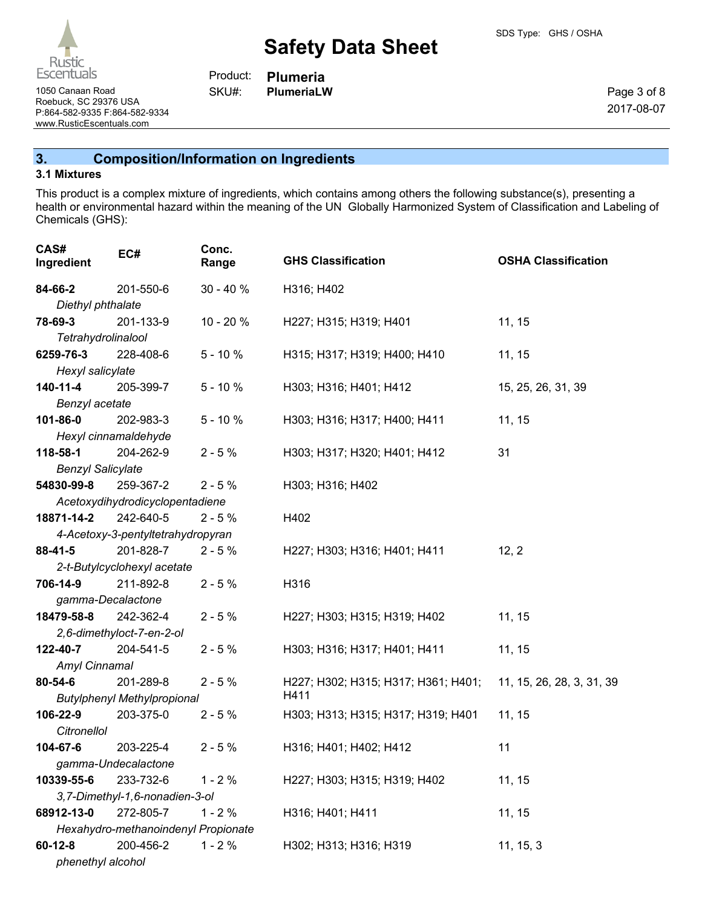1050 Canaan Road **Planet Contact Contact Contact Contact Contact Contact Contact Contact Contact Contact Contact Contact Contact Contact Contact Contact Contact Contact Contact Contact Contact Contact Contact Contact Conta** Roebuck, SC 29376 USA P:864-582-9335 F:864-582-9334 www.RusticEscentuals.com

**Plumeria** Product: SKU#:

Page 3 of 8 2017-08-07

**3. Composition/Information on Ingredients**

## **3.1 Mixtures**

Rustic **Escentuals** 

This product is a complex mixture of ingredients, which contains among others the following substance(s), presenting a health or environmental hazard within the meaning of the UN Globally Harmonized System of Classification and Labeling of Chemicals (GHS):

| CAS#<br>Ingredient       | EC#                                 | Conc.<br>Range | <b>GHS Classification</b>           | <b>OSHA Classification</b> |
|--------------------------|-------------------------------------|----------------|-------------------------------------|----------------------------|
| 84-66-2                  | 201-550-6                           | $30 - 40%$     | H316; H402                          |                            |
| Diethyl phthalate        |                                     |                |                                     |                            |
| 78-69-3                  | 201-133-9                           | $10 - 20%$     | H227; H315; H319; H401              | 11, 15                     |
| Tetrahydrolinalool       |                                     |                |                                     |                            |
| 6259-76-3                | 228-408-6                           | $5 - 10%$      | H315; H317; H319; H400; H410        | 11, 15                     |
| Hexyl salicylate         |                                     |                |                                     |                            |
| 140-11-4                 | 205-399-7                           | $5 - 10%$      | H303; H316; H401; H412              | 15, 25, 26, 31, 39         |
| Benzyl acetate           |                                     |                |                                     |                            |
| 101-86-0                 | 202-983-3                           | $5 - 10%$      | H303; H316; H317; H400; H411        | 11, 15                     |
| Hexyl cinnamaldehyde     |                                     |                |                                     |                            |
| 118-58-1                 | 204-262-9                           | $2 - 5%$       | H303; H317; H320; H401; H412        | 31                         |
| <b>Benzyl Salicylate</b> |                                     |                |                                     |                            |
| 54830-99-8               | 259-367-2                           | $2 - 5%$       | H303; H316; H402                    |                            |
|                          | Acetoxydihydrodicyclopentadiene     |                |                                     |                            |
| 18871-14-2               | 242-640-5                           | $2 - 5%$       | H402                                |                            |
|                          | 4-Acetoxy-3-pentyltetrahydropyran   |                |                                     |                            |
| $88 - 41 - 5$            | 201-828-7                           | $2 - 5%$       | H227; H303; H316; H401; H411        | 12, 2                      |
|                          | 2-t-Butylcyclohexyl acetate         |                |                                     |                            |
| 706-14-9                 | 211-892-8                           | $2 - 5%$       | H316                                |                            |
| gamma-Decalactone        |                                     |                |                                     |                            |
| 18479-58-8               | 242-362-4                           | $2 - 5%$       | H227; H303; H315; H319; H402        | 11, 15                     |
|                          | 2,6-dimethyloct-7-en-2-ol           |                |                                     |                            |
| 122-40-7                 | 204-541-5                           | $2 - 5%$       | H303; H316; H317; H401; H411        | 11, 15                     |
| Amyl Cinnamal<br>80-54-6 | 201-289-8                           | $2 - 5%$       | H227; H302; H315; H317; H361; H401; | 11, 15, 26, 28, 3, 31, 39  |
|                          | <b>Butylphenyl Methylpropional</b>  |                | H411                                |                            |
| 106-22-9                 | 203-375-0                           | $2 - 5%$       | H303; H313; H315; H317; H319; H401  | 11, 15                     |
| Citronellol              |                                     |                |                                     |                            |
| 104-67-6                 | 203-225-4                           | $2 - 5%$       | H316; H401; H402; H412              | 11                         |
|                          | gamma-Undecalactone                 |                |                                     |                            |
| 10339-55-6               | 233-732-6                           | $1 - 2%$       | H227; H303; H315; H319; H402        | 11, 15                     |
|                          | 3,7-Dimethyl-1,6-nonadien-3-ol      |                |                                     |                            |
| 68912-13-0               | 272-805-7                           | $1 - 2%$       | H316; H401; H411                    | 11, 15                     |
|                          | Hexahydro-methanoindenyl Propionate |                |                                     |                            |
| $60 - 12 - 8$            | 200-456-2                           | $1 - 2%$       | H302; H313; H316; H319              | 11, 15, 3                  |
| phenethyl alcohol        |                                     |                |                                     |                            |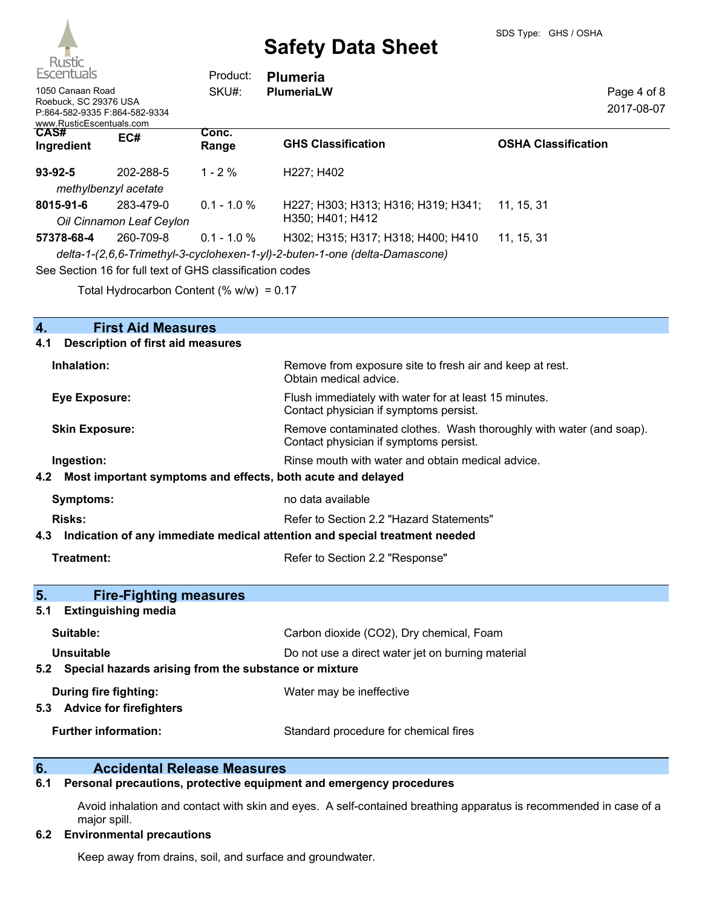| $\sim$<br><b>Escentuals</b><br>1050 Canaan Road<br>Roebuck, SC 29376 USA<br>P:864-582-9335 F:864-582-9334 |                                                            | Product:<br>SKU#: | <b>Plumeria</b><br><b>PlumeriaLW</b>                                        | Page 4 of 8<br>2017-08-07  |
|-----------------------------------------------------------------------------------------------------------|------------------------------------------------------------|-------------------|-----------------------------------------------------------------------------|----------------------------|
| www.RusticEscentuals.com<br>CAS#                                                                          |                                                            | Conc.             |                                                                             |                            |
| Ingredient                                                                                                | EC#                                                        | Range             | <b>GHS Classification</b>                                                   | <b>OSHA Classification</b> |
| $93 - 92 - 5$                                                                                             | 202-288-5                                                  | $1 - 2 \%$        | H227: H402                                                                  |                            |
|                                                                                                           | methylbenzyl acetate                                       |                   |                                                                             |                            |
| 8015-91-6                                                                                                 | 283-479-0                                                  | $0.1 - 1.0 %$     | H227; H303; H313; H316; H319; H341;                                         | 11, 15, 31                 |
|                                                                                                           | Oil Cinnamon Leaf Ceylon                                   |                   | H350: H401: H412                                                            |                            |
| 57378-68-4                                                                                                | 260-709-8                                                  | $0.1 - 1.0 \%$    | H302; H315; H317; H318; H400; H410                                          | 11, 15, 31                 |
|                                                                                                           |                                                            |                   | delta-1-(2,6,6-Trimethyl-3-cyclohexen-1-yl)-2-buten-1-one (delta-Damascone) |                            |
|                                                                                                           | Can Continue 40 for full tout of CUC plannification and an |                   |                                                                             |                            |

See Section 16 for full text of GHS classification codes

Total Hydrocarbon Content  $(\% w/w) = 0.17$ 

| <b>First Aid Measures</b><br>4.                                                   |                                                                                                               |  |  |
|-----------------------------------------------------------------------------------|---------------------------------------------------------------------------------------------------------------|--|--|
| <b>Description of first aid measures</b><br>4.1                                   |                                                                                                               |  |  |
| Inhalation:                                                                       | Remove from exposure site to fresh air and keep at rest.<br>Obtain medical advice.                            |  |  |
| <b>Eye Exposure:</b>                                                              | Flush immediately with water for at least 15 minutes.<br>Contact physician if symptoms persist.               |  |  |
| <b>Skin Exposure:</b>                                                             | Remove contaminated clothes. Wash thoroughly with water (and soap).<br>Contact physician if symptoms persist. |  |  |
| Ingestion:                                                                        | Rinse mouth with water and obtain medical advice.                                                             |  |  |
| Most important symptoms and effects, both acute and delayed<br>4.2                |                                                                                                               |  |  |
| <b>Symptoms:</b>                                                                  | no data available                                                                                             |  |  |
| Risks:                                                                            | Refer to Section 2.2 "Hazard Statements"                                                                      |  |  |
| Indication of any immediate medical attention and special treatment needed<br>4.3 |                                                                                                               |  |  |
|                                                                                   |                                                                                                               |  |  |
| Treatment:                                                                        | Refer to Section 2.2 "Response"                                                                               |  |  |
|                                                                                   |                                                                                                               |  |  |
| 5.<br><b>Fire-Fighting measures</b>                                               |                                                                                                               |  |  |
| <b>Extinguishing media</b><br>5.1                                                 |                                                                                                               |  |  |
| Suitable:                                                                         | Carbon dioxide (CO2), Dry chemical, Foam                                                                      |  |  |
| <b>Unsuitable</b>                                                                 | Do not use a direct water jet on burning material                                                             |  |  |
| Special hazards arising from the substance or mixture<br>5.2                      |                                                                                                               |  |  |
| During fire fighting:<br>5.3 Advice for firefighters                              | Water may be ineffective                                                                                      |  |  |

# **6. Calcidental Release Measures**<br>**6.1 Personal precautions, protective equipme**

## **6.1 Personal precautions, protective equipment and emergency procedures**

Avoid inhalation and contact with skin and eyes. A self-contained breathing apparatus is recommended in case of a major spill.

## **6.2 Environmental precautions**

Keep away from drains, soil, and surface and groundwater.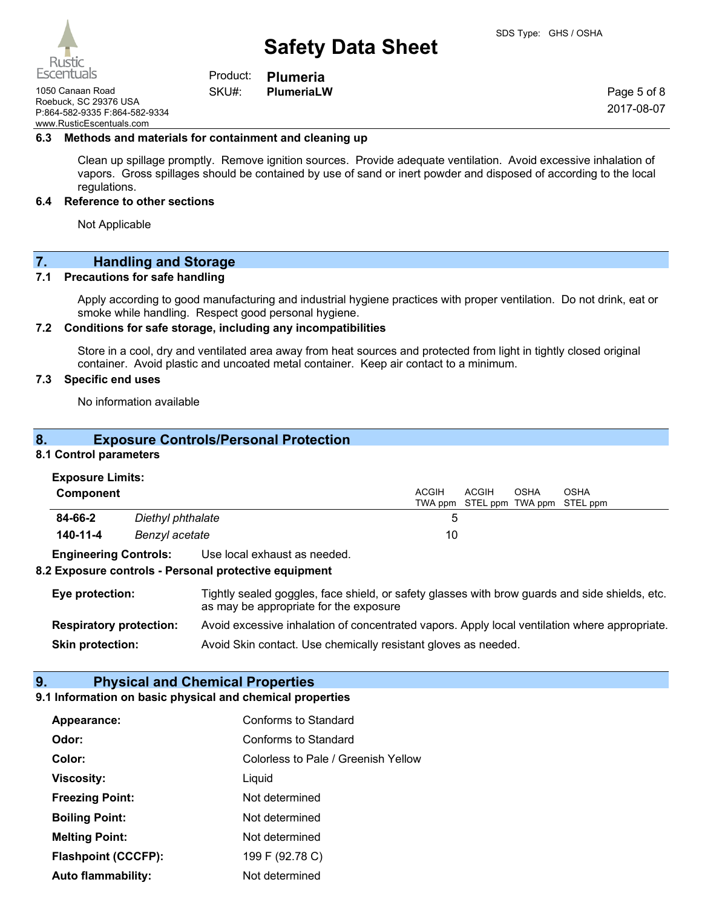Product: SKU#:

1050 Canaan Road **PlumeriaLW** Roebuck, SC 29376 USA P:864-582-9335 F:864-582-9334 www.RusticEscentuals.com

**Plumeria**

Page 5 of 8 2017-08-07

#### **6.3 Methods and materials for containment and cleaning up**

Clean up spillage promptly. Remove ignition sources. Provide adequate ventilation. Avoid excessive inhalation of vapors. Gross spillages should be contained by use of sand or inert powder and disposed of according to the local regulations.

### **6.4 Reference to other sections**

Not Applicable

## **7. Handling and Storage**

## **7.1 Precautions for safe handling**

Apply according to good manufacturing and industrial hygiene practices with proper ventilation. Do not drink, eat or smoke while handling. Respect good personal hygiene.

## **7.2 Conditions for safe storage, including any incompatibilities**

Store in a cool, dry and ventilated area away from heat sources and protected from light in tightly closed original container. Avoid plastic and uncoated metal container. Keep air contact to a minimum.

## **7.3 Specific end uses**

No information available

## **8. Exposure Controls/Personal Protection**

## **8.1 Control parameters**

#### **Exposure Limits:**

| <b>Component</b>             |                   |                              | ACGIH | <b>ACGIH</b> | OSHA | OSHA<br>TWA ppm STEL ppm TWA ppm STEL ppm |
|------------------------------|-------------------|------------------------------|-------|--------------|------|-------------------------------------------|
| 84-66-2                      | Diethyl phthalate |                              |       |              |      |                                           |
| 140-11-4<br>Benzyl acetate   |                   |                              | 10    |              |      |                                           |
| <b>Engineering Controls:</b> |                   | Use local exhaust as needed. |       |              |      |                                           |

## **8.2 Exposure controls - Personal protective equipment**

| Eye protection:                | Tightly sealed goggles, face shield, or safety glasses with brow guards and side shields, etc.<br>as may be appropriate for the exposure |
|--------------------------------|------------------------------------------------------------------------------------------------------------------------------------------|
| <b>Respiratory protection:</b> | Avoid excessive inhalation of concentrated vapors. Apply local ventilation where appropriate.                                            |
| <b>Skin protection:</b>        | Avoid Skin contact. Use chemically resistant gloves as needed.                                                                           |

#### **9. Physical and Chemical Properties**

#### **9.1 Information on basic physical and chemical properties**

| Appearance:                | Conforms to Standard                |
|----------------------------|-------------------------------------|
| Odor:                      | Conforms to Standard                |
| Color:                     | Colorless to Pale / Greenish Yellow |
| <b>Viscosity:</b>          | Liquid                              |
| <b>Freezing Point:</b>     | Not determined                      |
| <b>Boiling Point:</b>      | Not determined                      |
| <b>Melting Point:</b>      | Not determined                      |
| <b>Flashpoint (CCCFP):</b> | 199 F (92.78 C)                     |
| <b>Auto flammability:</b>  | Not determined                      |

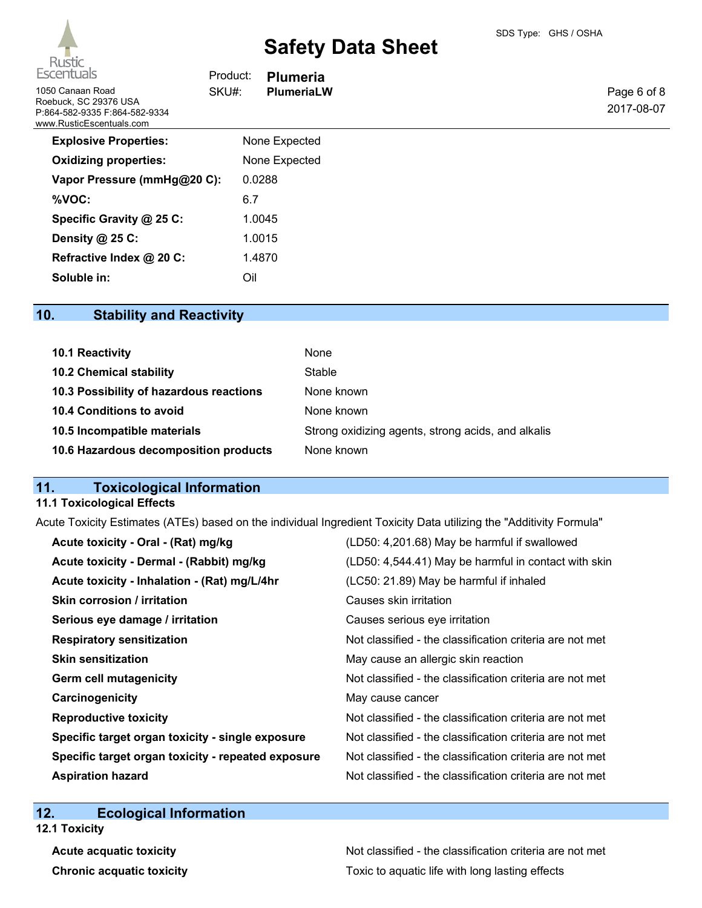

| Escentuals                                                                                                      | Product: | <b>Plumeria</b> |  |
|-----------------------------------------------------------------------------------------------------------------|----------|-----------------|--|
| 1050 Canaan Road<br>SKU#:<br>Roebuck, SC 29376 USA<br>P:864-582-9335 F:864-582-9334<br>www.RusticEscentuals.com |          | PlumeriaLW      |  |
| <b>Explosive Properties:</b>                                                                                    |          | None Expected   |  |
| <b>Oxidizing properties:</b>                                                                                    |          | None Expected   |  |
| Vapor Pressure (mmHg@20 C):                                                                                     |          | 0.0288          |  |
| %VOC:                                                                                                           | 6.7      |                 |  |
| Specific Gravity @ 25 C:                                                                                        |          | 1.0045          |  |
| Density $@$ 25 C:                                                                                               |          | 1.0015          |  |
| Refractive Index @ 20 C:                                                                                        |          | 1.4870          |  |
| Soluble in:                                                                                                     | Oil      |                 |  |
|                                                                                                                 |          |                 |  |

## **10. Stability and Reactivity**

| 10.1 Reactivity                         | None                                               |
|-----------------------------------------|----------------------------------------------------|
| <b>10.2 Chemical stability</b>          | Stable                                             |
| 10.3 Possibility of hazardous reactions | None known                                         |
| 10.4 Conditions to avoid                | None known                                         |
| 10.5 Incompatible materials             | Strong oxidizing agents, strong acids, and alkalis |
| 10.6 Hazardous decomposition products   | None known                                         |

## **11. Toxicological Information**

## **11.1 Toxicological Effects**

Acute Toxicity Estimates (ATEs) based on the individual Ingredient Toxicity Data utilizing the "Additivity Formula"

| (LD50: 4,201.68) May be harmful if swallowed             |
|----------------------------------------------------------|
| (LD50: 4,544.41) May be harmful in contact with skin     |
| (LC50: 21.89) May be harmful if inhaled                  |
| Causes skin irritation                                   |
| Causes serious eye irritation                            |
| Not classified - the classification criteria are not met |
| May cause an allergic skin reaction                      |
| Not classified - the classification criteria are not met |
| May cause cancer                                         |
| Not classified - the classification criteria are not met |
| Not classified - the classification criteria are not met |
| Not classified - the classification criteria are not met |
| Not classified - the classification criteria are not met |
|                                                          |

## **12. Ecological Information**

**12.1 Toxicity**

Acute acquatic toxicity **Acute acquatic toxicity** Not classified - the classification criteria are not met **Chronic acquatic toxicity Toxic to aquatic life with long lasting effects**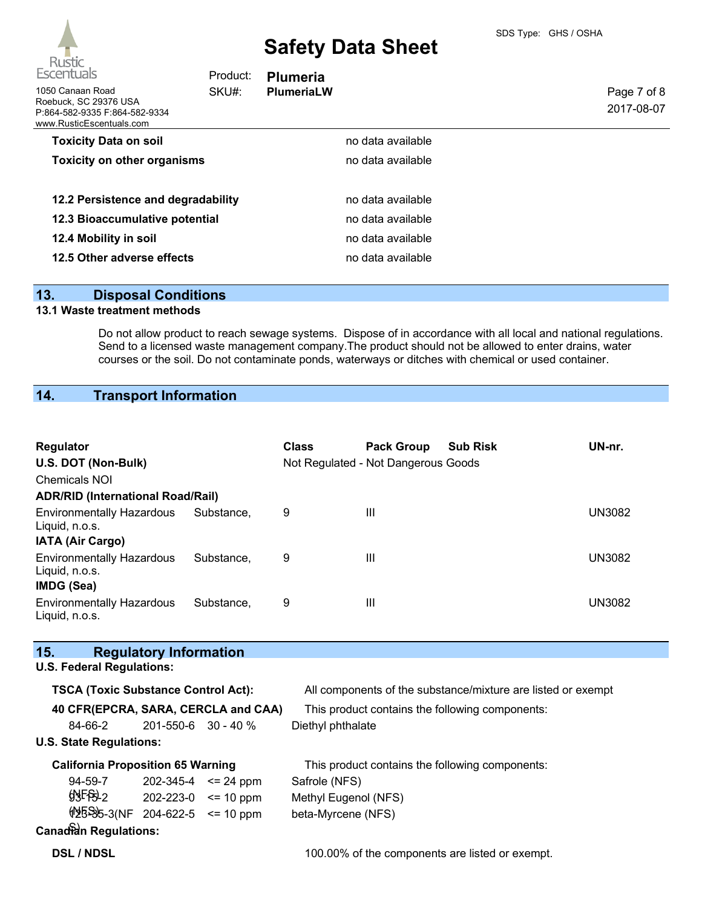

| Escentuals                                                                                             | Product: | <b>Plumeria</b>   |                   |                           |
|--------------------------------------------------------------------------------------------------------|----------|-------------------|-------------------|---------------------------|
| 1050 Canaan Road<br>Roebuck, SC 29376 USA<br>P:864-582-9335 F:864-582-9334<br>www.RusticEscentuals.com | SKU#:    | <b>PlumeriaLW</b> |                   | Page 7 of 8<br>2017-08-07 |
| <b>Toxicity Data on soil</b>                                                                           |          |                   | no data available |                           |
| <b>Toxicity on other organisms</b>                                                                     |          |                   | no data available |                           |
| 12.2 Persistence and degradability                                                                     |          |                   | no data available |                           |
| 12.3 Bioaccumulative potential                                                                         |          |                   | no data available |                           |
| 12.4 Mobility in soil                                                                                  |          |                   | no data available |                           |
| 12.5 Other adverse effects                                                                             |          |                   | no data available |                           |
|                                                                                                        |          |                   |                   |                           |

## **13. Disposal Conditions**

## **13.1 Waste treatment methods**

Do not allow product to reach sewage systems. Dispose of in accordance with all local and national regulations. Send to a licensed waste management company.The product should not be allowed to enter drains, water courses or the soil. Do not contaminate ponds, waterways or ditches with chemical or used container.

## **14. Transport Information**

| Regulator<br>U.S. DOT (Non-Bulk)<br>Chemicals NOI<br><b>ADR/RID (International Road/Rail)</b> |            | <b>Class</b> | <b>Pack Group</b><br>Not Regulated - Not Dangerous Goods | <b>Sub Risk</b> | UN-nr.        |
|-----------------------------------------------------------------------------------------------|------------|--------------|----------------------------------------------------------|-----------------|---------------|
| <b>Environmentally Hazardous</b>                                                              | Substance. | 9            | $\mathbf{III}$                                           |                 | UN3082        |
| Liquid, n.o.s.<br><b>IATA (Air Cargo)</b>                                                     |            |              |                                                          |                 |               |
| <b>Environmentally Hazardous</b><br>Liquid, n.o.s.                                            | Substance. | 9            | $\mathbf{III}$                                           |                 | <b>UN3082</b> |
| IMDG (Sea)                                                                                    |            |              |                                                          |                 |               |
| <b>Environmentally Hazardous</b><br>Liquid, n.o.s.                                            | Substance. | 9            | Ш                                                        |                 | <b>UN3082</b> |

| 15.                                        | <b>Regulatory Information</b> |                                                              |
|--------------------------------------------|-------------------------------|--------------------------------------------------------------|
| <b>U.S. Federal Regulations:</b>           |                               |                                                              |
| <b>TSCA (Toxic Substance Control Act):</b> |                               | All components of the substance/mixture are listed or exempt |
| 40 CFR(EPCRA, SARA, CERCLA and CAA)        |                               | This product contains the following components:              |
| 84-66-2                                    | $201 - 550 - 6$ 30 - 40 %     | Diethyl phthalate                                            |
| <b>U.S. State Regulations:</b>             |                               |                                                              |
| <b>California Proposition 65 Warning</b>   |                               | This product contains the following components:              |
| 94-59-7                                    | $202 - 345 - 4 \leq 24$ ppm   | Safrole (NFS)                                                |
| $99F$ <sup>9</sup> $-202-223-0$ < = 10 ppm |                               | Methyl Eugenol (NFS)                                         |
| $\frac{155}{36}$ -3(NF 204-622-5 <= 10 ppm |                               | beta-Myrcene (NFS)                                           |
| <b>Canadian Regulations:</b>               |                               |                                                              |
| <b>DSL / NDSL</b>                          |                               | 100.00% of the components are listed or exempt.              |